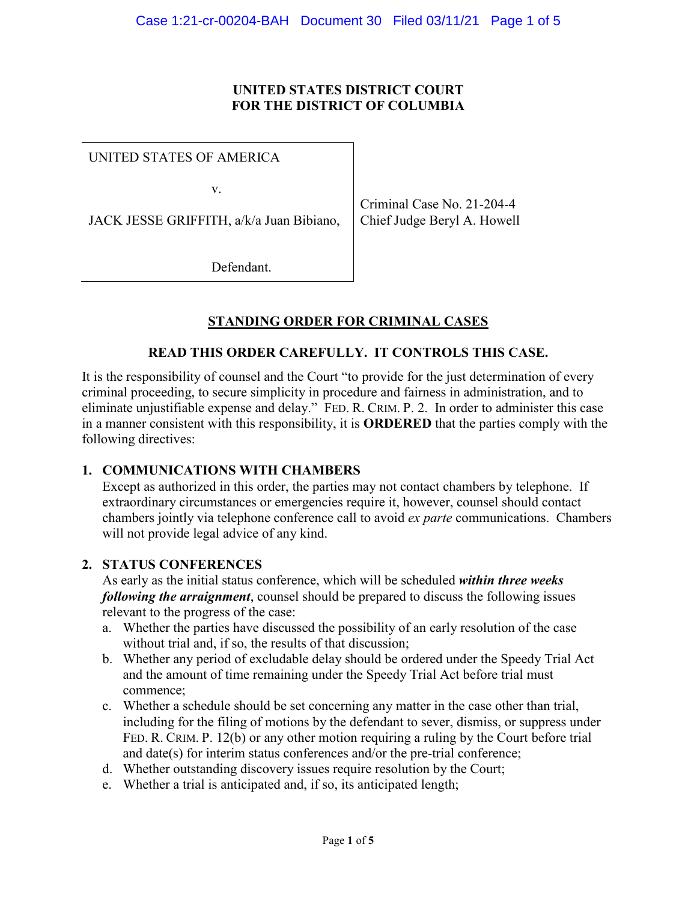#### **UNITED STATES DISTRICT COURT FOR THE DISTRICT OF COLUMBIA**

UNITED STATES OF AMERICA

v.

JACK JESSE GRIFFITH, a/k/a Juan Bibiano,

Criminal Case No. 21-204-4 Chief Judge Beryl A. Howell

Defendant.

# **STANDING ORDER FOR CRIMINAL CASES**

## **READ THIS ORDER CAREFULLY. IT CONTROLS THIS CASE.**

It is the responsibility of counsel and the Court "to provide for the just determination of every criminal proceeding, to secure simplicity in procedure and fairness in administration, and to eliminate unjustifiable expense and delay." FED. R. CRIM. P. 2. In order to administer this case in a manner consistent with this responsibility, it is **ORDERED** that the parties comply with the following directives:

## **1. COMMUNICATIONS WITH CHAMBERS**

Except as authorized in this order, the parties may not contact chambers by telephone. If extraordinary circumstances or emergencies require it, however, counsel should contact chambers jointly via telephone conference call to avoid *ex parte* communications. Chambers will not provide legal advice of any kind.

#### **2. STATUS CONFERENCES**

As early as the initial status conference, which will be scheduled *within three weeks following the arraignment*, counsel should be prepared to discuss the following issues relevant to the progress of the case:

- a. Whether the parties have discussed the possibility of an early resolution of the case without trial and, if so, the results of that discussion;
- b. Whether any period of excludable delay should be ordered under the Speedy Trial Act and the amount of time remaining under the Speedy Trial Act before trial must commence;
- c. Whether a schedule should be set concerning any matter in the case other than trial, including for the filing of motions by the defendant to sever, dismiss, or suppress under FED. R. CRIM. P. 12(b) or any other motion requiring a ruling by the Court before trial and date(s) for interim status conferences and/or the pre-trial conference;
- d. Whether outstanding discovery issues require resolution by the Court;
- e. Whether a trial is anticipated and, if so, its anticipated length;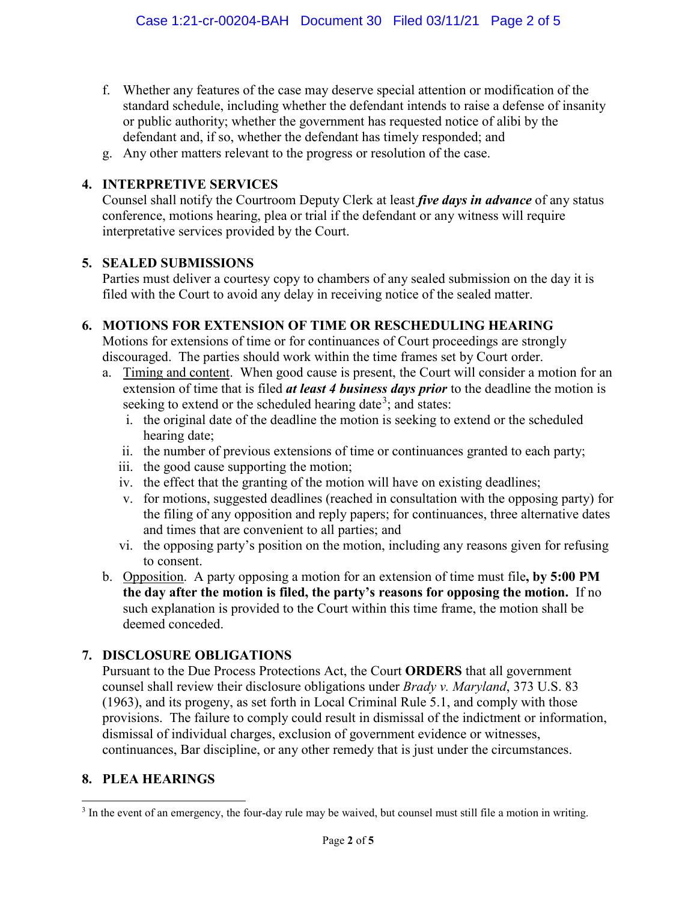- f. Whether any features of the case may deserve special attention or modification of the standard schedule, including whether the defendant intends to raise a defense of insanity or public authority; whether the government has requested notice of alibi by the defendant and, if so, whether the defendant has timely responded; and
- g. Any other matters relevant to the progress or resolution of the case.

#### **4. INTERPRETIVE SERVICES**

Counsel shall notify the Courtroom Deputy Clerk at least *five days in advance* of any status conference, motions hearing, plea or trial if the defendant or any witness will require interpretative services provided by the Court.

#### **5. SEALED SUBMISSIONS**

Parties must deliver a courtesy copy to chambers of any sealed submission on the day it is filed with the Court to avoid any delay in receiving notice of the sealed matter.

#### **6. MOTIONS FOR EXTENSION OF TIME OR RESCHEDULING HEARING**

Motions for extensions of time or for continuances of Court proceedings are strongly discouraged. The parties should work within the time frames set by Court order.

- a. Timing and content. When good cause is present, the Court will consider a motion for an extension of time that is filed *at least 4 business days prior* to the deadline the motion is seeking to extend or the scheduled hearing date<sup>3</sup>; and states:
	- i. the original date of the deadline the motion is seeking to extend or the scheduled hearing date;
	- ii. the number of previous extensions of time or continuances granted to each party;
	- iii. the good cause supporting the motion;
	- iv. the effect that the granting of the motion will have on existing deadlines;
	- v. for motions, suggested deadlines (reached in consultation with the opposing party) for the filing of any opposition and reply papers; for continuances, three alternative dates and times that are convenient to all parties; and
	- vi. the opposing party's position on the motion, including any reasons given for refusing to consent.
- b. Opposition. A party opposing a motion for an extension of time must file**, by 5:00 PM the day after the motion is filed, the party's reasons for opposing the motion.** If no such explanation is provided to the Court within this time frame, the motion shall be deemed conceded.

## **7. DISCLOSURE OBLIGATIONS**

Pursuant to the Due Process Protections Act, the Court **ORDERS** that all government counsel shall review their disclosure obligations under *Brady v. Maryland*, 373 U.S. 83 (1963), and its progeny, as set forth in Local Criminal Rule 5.1, and comply with those provisions. The failure to comply could result in dismissal of the indictment or information, dismissal of individual charges, exclusion of government evidence or witnesses, continuances, Bar discipline, or any other remedy that is just under the circumstances.

## **8. PLEA HEARINGS**

<sup>&</sup>lt;sup>3</sup> In the event of an emergency, the four-day rule may be waived, but counsel must still file a motion in writing.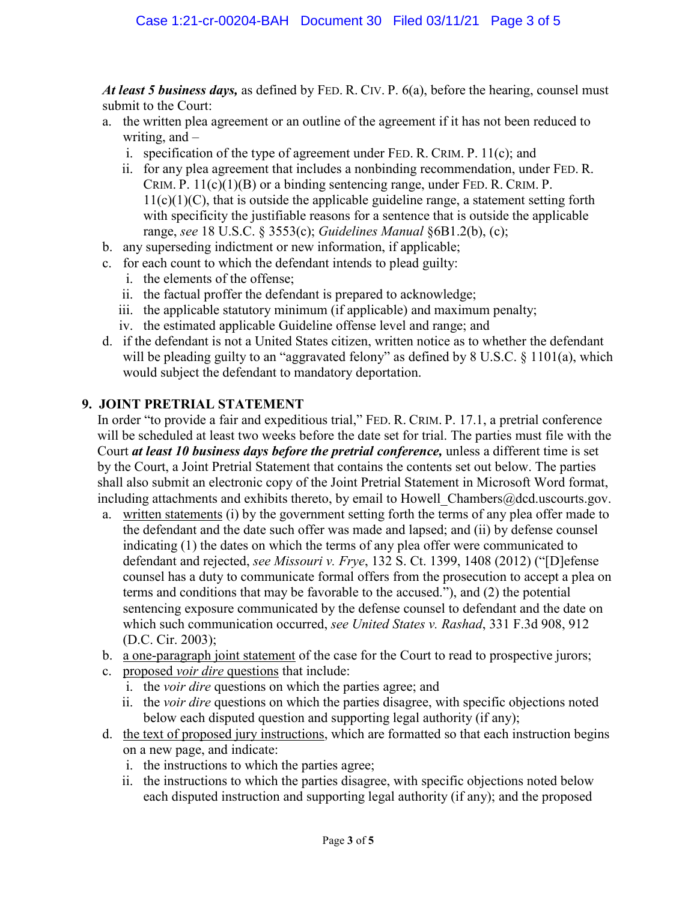*At least 5 business days,* as defined by FED. R. CIV. P. 6(a), before the hearing, counsel must submit to the Court:

- a. the written plea agreement or an outline of the agreement if it has not been reduced to writing, and –
	- i. specification of the type of agreement under FED. R. CRIM. P. 11(c); and
	- ii. for any plea agreement that includes a nonbinding recommendation, under FED. R. CRIM. P.  $11(c)(1)(B)$  or a binding sentencing range, under FED. R. CRIM. P.  $11(c)(1)(C)$ , that is outside the applicable guideline range, a statement setting forth with specificity the justifiable reasons for a sentence that is outside the applicable range, *see* 18 U.S.C. § 3553(c); *Guidelines Manual* §6B1.2(b), (c);
- b. any superseding indictment or new information, if applicable;
- c. for each count to which the defendant intends to plead guilty:
	- i. the elements of the offense;
	- ii. the factual proffer the defendant is prepared to acknowledge;
	- iii. the applicable statutory minimum (if applicable) and maximum penalty;
	- iv. the estimated applicable Guideline offense level and range; and
- d. if the defendant is not a United States citizen, written notice as to whether the defendant will be pleading guilty to an "aggravated felony" as defined by 8 U.S.C. § 1101(a), which would subject the defendant to mandatory deportation.

#### **9. JOINT PRETRIAL STATEMENT**

In order "to provide a fair and expeditious trial," FED. R. CRIM. P. 17.1, a pretrial conference will be scheduled at least two weeks before the date set for trial. The parties must file with the Court *at least 10 business days before the pretrial conference,* unless a different time is set by the Court, a Joint Pretrial Statement that contains the contents set out below. The parties shall also submit an electronic copy of the Joint Pretrial Statement in Microsoft Word format, including attachments and exhibits thereto, by email to Howell Chambers@dcd.uscourts.gov.

- a. written statements (i) by the government setting forth the terms of any plea offer made to the defendant and the date such offer was made and lapsed; and (ii) by defense counsel indicating (1) the dates on which the terms of any plea offer were communicated to defendant and rejected, *see Missouri v. Frye*, 132 S. Ct. 1399, 1408 (2012) ("[D]efense counsel has a duty to communicate formal offers from the prosecution to accept a plea on terms and conditions that may be favorable to the accused."), and (2) the potential sentencing exposure communicated by the defense counsel to defendant and the date on which such communication occurred, *see United States v. Rashad*, 331 F.3d 908, 912 (D.C. Cir. 2003);
- b. a one-paragraph joint statement of the case for the Court to read to prospective jurors;
- c. proposed *voir dire* questions that include:
	- i. the *voir dire* questions on which the parties agree; and
	- ii. the *voir dire* questions on which the parties disagree, with specific objections noted below each disputed question and supporting legal authority (if any);
- d. the text of proposed jury instructions, which are formatted so that each instruction begins on a new page, and indicate:
	- i. the instructions to which the parties agree;
	- ii. the instructions to which the parties disagree, with specific objections noted below each disputed instruction and supporting legal authority (if any); and the proposed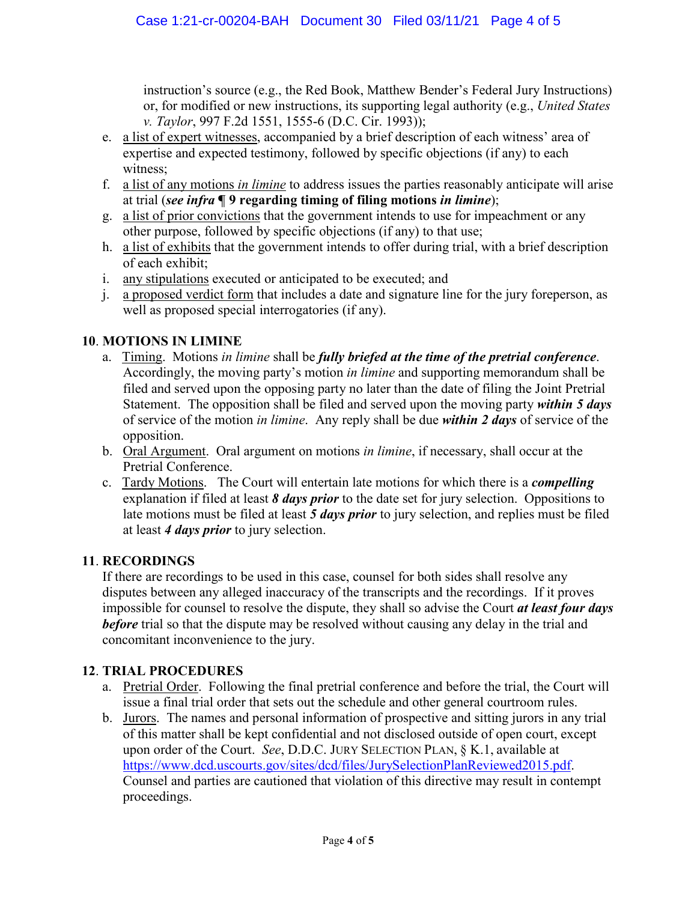instruction's source (e.g., the Red Book, Matthew Bender's Federal Jury Instructions) or, for modified or new instructions, its supporting legal authority (e.g., *United States v. Taylor*, 997 F.2d 1551, 1555-6 (D.C. Cir. 1993));

- e. a list of expert witnesses, accompanied by a brief description of each witness' area of expertise and expected testimony, followed by specific objections (if any) to each witness;
- f. a list of any motions *in limine* to address issues the parties reasonably anticipate will arise at trial (*see infra* **¶ 9 regarding timing of filing motions** *in limine*);
- g. a list of prior convictions that the government intends to use for impeachment or any other purpose, followed by specific objections (if any) to that use;
- h. a list of exhibits that the government intends to offer during trial, with a brief description of each exhibit;
- i. any stipulations executed or anticipated to be executed; and
- j. a proposed verdict form that includes a date and signature line for the jury foreperson, as well as proposed special interrogatories (if any).

# **10**. **MOTIONS IN LIMINE**

- a. Timing.Motions *in limine* shall be *fully briefed at the time of the pretrial conference*. Accordingly, the moving party's motion *in limine* and supporting memorandum shall be filed and served upon the opposing party no later than the date of filing the Joint Pretrial Statement. The opposition shall be filed and served upon the moving party *within 5 days* of service of the motion *in limine*. Any reply shall be due *within 2 days* of service of the opposition.
- b. Oral Argument. Oral argument on motions *in limine*, if necessary, shall occur at the Pretrial Conference.
- c. Tardy Motions. The Court will entertain late motions for which there is a *compelling* explanation if filed at least *8 days prior* to the date set for jury selection. Oppositions to late motions must be filed at least *5 days prior* to jury selection, and replies must be filed at least *4 days prior* to jury selection.

## **11**. **RECORDINGS**

If there are recordings to be used in this case, counsel for both sides shall resolve any disputes between any alleged inaccuracy of the transcripts and the recordings. If it proves impossible for counsel to resolve the dispute, they shall so advise the Court *at least four days before* trial so that the dispute may be resolved without causing any delay in the trial and concomitant inconvenience to the jury.

# **12**. **TRIAL PROCEDURES**

- a. Pretrial Order. Following the final pretrial conference and before the trial, the Court will issue a final trial order that sets out the schedule and other general courtroom rules.
- b. Jurors. The names and personal information of prospective and sitting jurors in any trial of this matter shall be kept confidential and not disclosed outside of open court, except upon order of the Court. *See*, D.D.C. JURY SELECTION PLAN, § K.1, available at https://www.dcd.uscourts.gov/sites/dcd/files/JurySelectionPlanReviewed2015.pdf. Counsel and parties are cautioned that violation of this directive may result in contempt proceedings.